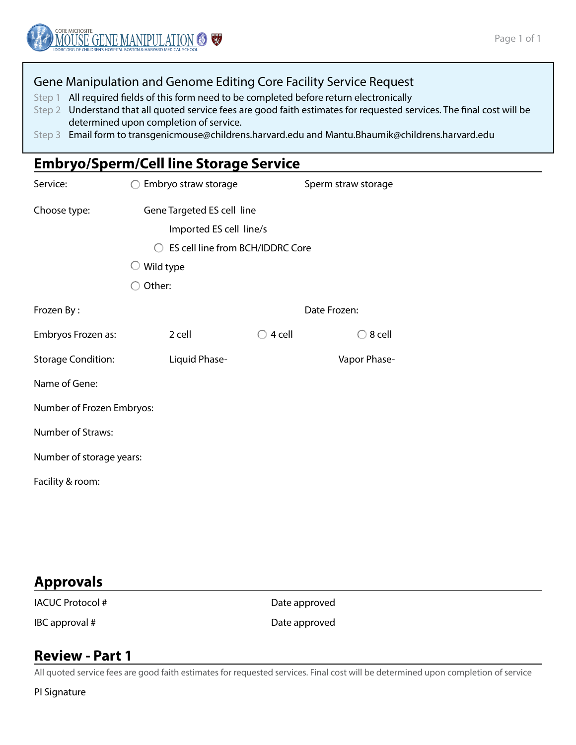#### Gene Manipulation and Genome Editing Core Facility Service Request

Step 1 All required fields of this form need to be completed before return electronically

- Step 2 Understand that all quoted service fees are good faith estimates for requested services. The final cost will be determined upon completion of service.
- Step 3 Email form to transgenicmouse@childrens.harvard.edu and Mantu.Bhaumik@childrens.harvard.edu

## **Embryo/Sperm/Cell line Storage Service**

| Service:                                                                          | Embryo straw storage       |                   | Sperm straw storage |  |  |  |  |  |
|-----------------------------------------------------------------------------------|----------------------------|-------------------|---------------------|--|--|--|--|--|
| Choose type:                                                                      | Gene Targeted ES cell line |                   |                     |  |  |  |  |  |
|                                                                                   | Imported ES cell line/s    |                   |                     |  |  |  |  |  |
| ES cell line from BCH/IDDRC Core<br>$\left( \begin{array}{c} \end{array} \right)$ |                            |                   |                     |  |  |  |  |  |
|                                                                                   | Wild type                  |                   |                     |  |  |  |  |  |
|                                                                                   | Other:                     |                   |                     |  |  |  |  |  |
| Frozen By:                                                                        | Date Frozen:               |                   |                     |  |  |  |  |  |
| Embryos Frozen as:                                                                | 2 cell                     | $\bigcirc$ 4 cell | 8 cell              |  |  |  |  |  |
| <b>Storage Condition:</b>                                                         | Liquid Phase-              |                   | Vapor Phase-        |  |  |  |  |  |
| Name of Gene:                                                                     |                            |                   |                     |  |  |  |  |  |
| Number of Frozen Embryos:                                                         |                            |                   |                     |  |  |  |  |  |
| Number of Straws:                                                                 |                            |                   |                     |  |  |  |  |  |
| Number of storage years:                                                          |                            |                   |                     |  |  |  |  |  |
| Facility & room:                                                                  |                            |                   |                     |  |  |  |  |  |

# **Approvals**

IACUC Protocol # Date approved

IBC approval # Date approved

### **Review - Part 1**

All quoted service fees are good faith estimates for requested services. Final cost will be determined upon completion of service

PI Signature